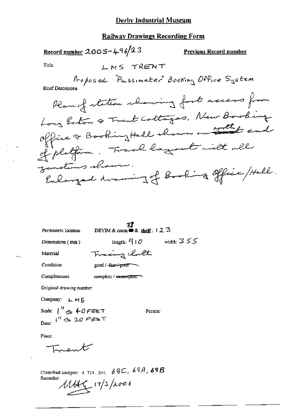### **Railway Drawings Recording Form**

<u>Record number</u> 2005-496/23 **Previous Record number** Title LMS TRENT Proposed "Passimeter" Booking Office System **Brief Description** Plan of station showing fort access from Long Eaton & Trent Cottages, New Booking office & Booking Hall shown on the end of pletform. Track layment with all junctions shows. Enlarged draming of Booking office / Hell.

Permanent location

**EX**<br>DBYIM & room  $\bullet$  & shelf:  $12.3$ 

Dimensions (mm)

length:  $910$  width:  $355$ 

Material Condition

good / fair+poor -

Tracing clothe

Completeness complete / incomplete

Original drawing number

Company: LMS

Scale:  $\int_{0}^{H} dx$  40 FEET Date:  $i^R \approx 20$  FEBT

Person:

Place:

Incont

Classified category: 4, 721, 301,  $68C$ ,  $69A$ ,  $69B$ Recorder:  $1149/17/3/2006$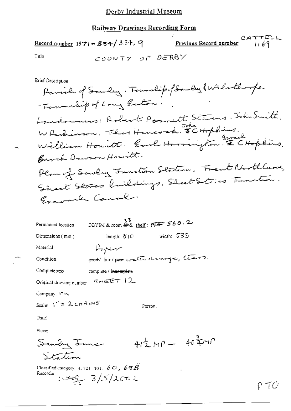# **Railway Drawings Recording Form**

CATTELL CATTELL CATTELL Record number 1971-334/354, 9 COUNTY OF DERBY Title

**Brief Description** 

| Permanent location      | DBYIM & room $46$ shelf: $777560.2$   |              |
|-------------------------|---------------------------------------|--------------|
| Dimensions $(mn)$       | length: 5 IC                          | width: $535$ |
| Material                | Paper                                 |              |
| Condition               | seed/ fair/ poss water dramoge, there |              |
| Completeness            | complete / i <del>ncomplete</del>     |              |
| Original drawing number | $5n \in F$ $12$                       |              |
| Company: 1518           |                                       |              |

Scale:  $1^{h}$  = 2 cm ans

Person:

 $41\frac{1}{2}MP - 40\frac{3}{4}M$ 

Date:

Placet

Samby June Station

Classified category: 4, 721, 501,  $\overline{6}$  O,  $\overline{6}$   $\overline{9}$  $\overline{8}$ Recorder  $1.349 - 3/5/2002$ 

P TC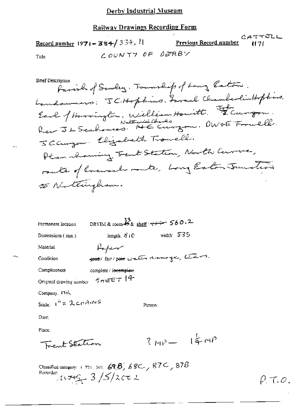## Derby Industrial Museum

# **Railway Drawings Recording Form**

y.  $CATTELL$ Record number 1971 - 384/334,  $| \cdot |$  Previous Record number COUNTY OF DERBY Title

| Brief Desch                                     |
|-------------------------------------------------|
| farial of Sauley. Fourship of Long Eaton.       |
| Landaumers: JCHopbins. Loral ChamberlinHopbens. |
|                                                 |
| Earl of Horrington, William Howitt. Flurgon.    |
| JCanzon. Elizabeth Trowell.                     |
| Plan showing Trent Station, North Curre,        |
| route of lovewash route, Long Eaton Junction    |
| 25 Nottingham.                                  |

| Permanent location                     | DBYIM & room $^{33}_{48}$ shelf: $\frac{11}{44}$ 560.2 |              |                          |
|----------------------------------------|--------------------------------------------------------|--------------|--------------------------|
| Dimensions (mm)                        | length: $\mathcal{E}/C$                                | width: $535$ |                          |
| Material                               | سهنهلهل                                                |              |                          |
| Condition                              | good/ fair/ poor water downinger, there.               |              |                          |
| Completeness                           | complete / incomplete                                  |              |                          |
| Original drawing number                | $5\pi$ EET 14                                          |              |                          |
| Company, PUN                           |                                                        |              |                          |
| Scale: $1^{h} = \lambda c \pi A_1 N S$ |                                                        | Person:      |                          |
| Date:                                  |                                                        |              |                          |
| Place:                                 |                                                        |              |                          |
| Frent Station                          |                                                        |              |                          |
|                                        |                                                        |              | $R_{HP} = \frac{1}{4}MP$ |

Classified category: 4.721, 301, 69.8) 68C, 87C, 87B<br>Recorder:<br> $\frac{1}{2} \sqrt{5/2}$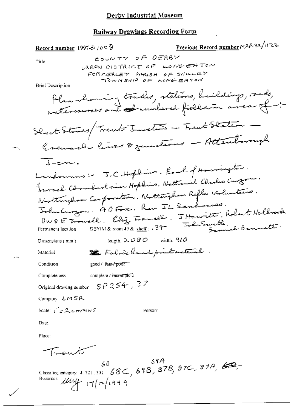## Derby Industrial Museum

### Railway Drawings Recording Form

Previous Record number MAP132/1122 Record number 1997-5/ $10^{\circ}$ COUNTY OF OERBY Title URBAN DISTRICT OF LONGENTON FORMERLEY PARISH OF SHALLEY TOWNSHIP OF LONGEATOR **Brief Description** Plan koming trades, stations, buildings, roods, intercourses and sumbered fields in anea of -:-Shack Stores/Trent Junction - Trent Station Gravash lives & zandious - Attentomight  $\overline{\overline{C}}$ Landous: J.C.Hopkins. Earl of Harrington. Fromal Chamberlain Hopkins. Nattaniel Charles Curton Nottinghow Confortion. Nottingham Rifle Volunteers. John Curzon: ADFor. Rev IL Semboures. DWGE Trouble. Eliz Trouvell. JHowritt, Robert Hollrock DBYIM& room 49 & shelf: 134 Toba Smette, Permanent location length:  $2080$  width,  $910$ Dimensions (mm) E Fabric land print material. Material good / fair / poor Condition Completeness complete / <del>incompl</del>ete Original drawing number  $SPA 254$ , 37 Compan LMSR Scale:  $i''$   $\neq$  2 corrents Person  $Data:$ Place: Trent Classified entegory: 4.721.301. 68C, 69B, 87B, 97C, 87A, 60 Recorder: Muj 17/0/1999